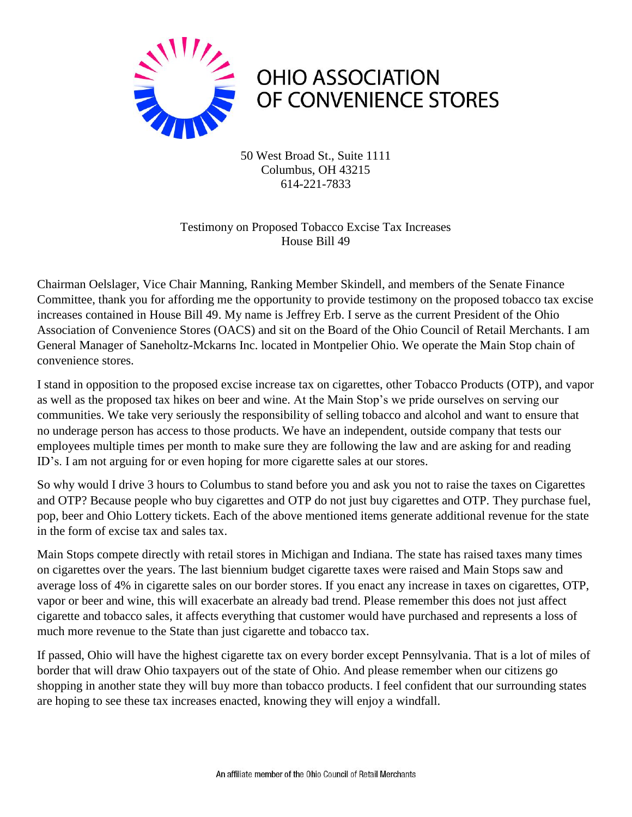

50 West Broad St., Suite 1111 Columbus, OH 43215 614-221-7833

Testimony on Proposed Tobacco Excise Tax Increases House Bill 49

Chairman Oelslager, Vice Chair Manning, Ranking Member Skindell, and members of the Senate Finance Committee, thank you for affording me the opportunity to provide testimony on the proposed tobacco tax excise increases contained in House Bill 49. My name is Jeffrey Erb. I serve as the current President of the Ohio Association of Convenience Stores (OACS) and sit on the Board of the Ohio Council of Retail Merchants. I am General Manager of Saneholtz-Mckarns Inc. located in Montpelier Ohio. We operate the Main Stop chain of convenience stores.

I stand in opposition to the proposed excise increase tax on cigarettes, other Tobacco Products (OTP), and vapor as well as the proposed tax hikes on beer and wine. At the Main Stop's we pride ourselves on serving our communities. We take very seriously the responsibility of selling tobacco and alcohol and want to ensure that no underage person has access to those products. We have an independent, outside company that tests our employees multiple times per month to make sure they are following the law and are asking for and reading ID's. I am not arguing for or even hoping for more cigarette sales at our stores.

So why would I drive 3 hours to Columbus to stand before you and ask you not to raise the taxes on Cigarettes and OTP? Because people who buy cigarettes and OTP do not just buy cigarettes and OTP. They purchase fuel, pop, beer and Ohio Lottery tickets. Each of the above mentioned items generate additional revenue for the state in the form of excise tax and sales tax.

Main Stops compete directly with retail stores in Michigan and Indiana. The state has raised taxes many times on cigarettes over the years. The last biennium budget cigarette taxes were raised and Main Stops saw and average loss of 4% in cigarette sales on our border stores. If you enact any increase in taxes on cigarettes, OTP, vapor or beer and wine, this will exacerbate an already bad trend. Please remember this does not just affect cigarette and tobacco sales, it affects everything that customer would have purchased and represents a loss of much more revenue to the State than just cigarette and tobacco tax.

If passed, Ohio will have the highest cigarette tax on every border except Pennsylvania. That is a lot of miles of border that will draw Ohio taxpayers out of the state of Ohio. And please remember when our citizens go shopping in another state they will buy more than tobacco products. I feel confident that our surrounding states are hoping to see these tax increases enacted, knowing they will enjoy a windfall.